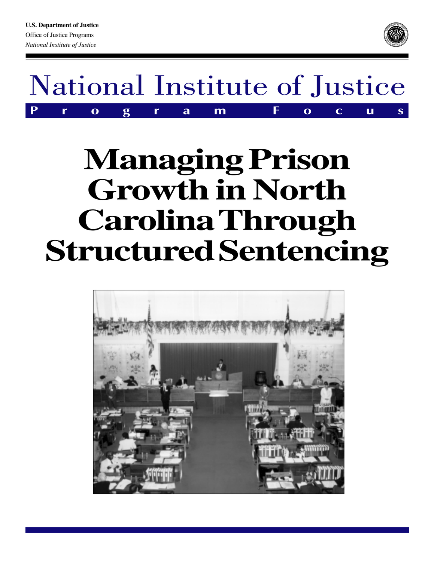



# **Managing Prison Growth in North Carolina Through Structured Sentencing**

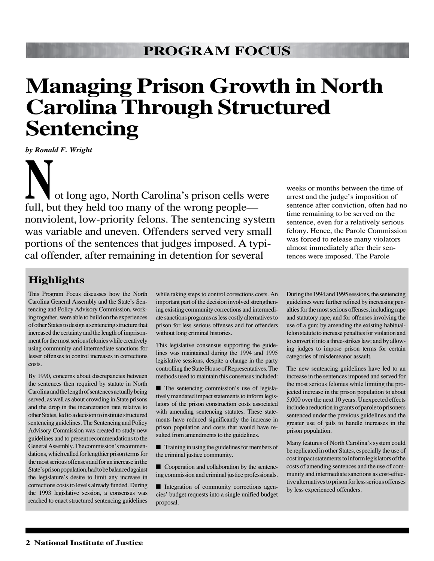## **Managing Prison Growth in North Carolina Through Structured Sentencing**

*by Ronald F. Wright*

ot long ago, North Carolina's prison cells were full, but they held too many of the wrong people nonviolent, low-priority felons. The sentencing system was variable and uneven. Offenders served very small portions of the sentences that judges imposed. A typical offender, after remaining in detention for several **N**

weeks or months between the time of arrest and the judge's imposition of sentence after conviction, often had no time remaining to be served on the sentence, even for a relatively serious felony. Hence, the Parole Commission was forced to release many violators almost immediately after their sentences were imposed. The Parole

### **Highlights**

This Program Focus discusses how the North Carolina General Assembly and the State's Sentencing and Policy Advisory Commission, working together, were able to build on the experiences of other States to design a sentencing structure that increased the certainty and the length of imprisonment for the most serious felonies while creatively using community and intermediate sanctions for lesser offenses to control increases in corrections costs.

By 1990, concerns about discrepancies between the sentences then required by statute in North Carolina and the length of sentences actually being served, as well as about crowding in State prisons and the drop in the incarceration rate relative to other States, led to a decision to institute structured sentencing guidelines. The Sentencing and Policy Advisory Commission was created to study new guidelines and to present recommendations to the General Assembly. The commission's recommendations, which called for lengthier prison terms for the most serious offenses and for an increase in the State's prison population, had to be balanced against the legislature's desire to limit any increase in corrections costs to levels already funded. During the 1993 legislative session, a consensus was reached to enact structured sentencing guidelines

while taking steps to control corrections costs. An important part of the decision involved strengthening existing community corrections and intermediate sanctions programs as less costly alternatives to prison for less serious offenses and for offenders without long criminal histories.

This legislative consensus supporting the guidelines was maintained during the 1994 and 1995 legislative sessions, despite a change in the party controlling the State House of Representatives. The methods used to maintain this consensus included:

■ The sentencing commission's use of legislatively mandated impact statements to inform legislators of the prison construction costs associated with amending sentencing statutes. These statements have reduced significantly the increase in prison population and costs that would have resulted from amendments to the guidelines.

■ Training in using the guidelines for members of the criminal justice community.

■ Cooperation and collaboration by the sentencing commission and criminal justice professionals.

■ Integration of community corrections agencies' budget requests into a single unified budget proposal.

During the 1994 and 1995 sessions, the sentencing guidelines were further refined by increasing penalties for the most serious offenses, including rape and statutory rape, and for offenses involving the use of a gun; by amending the existing habitualfelon statute to increase penalties for violation and to convert it into a three-strikes law; and by allowing judges to impose prison terms for certain categories of misdemeanor assault.

The new sentencing guidelines have led to an increase in the sentences imposed and served for the most serious felonies while limiting the projected increase in the prison population to about 5,000 over the next 10 years. Unexpected effects include a reduction in grants of parole to prisoners sentenced under the previous guidelines and the greater use of jails to handle increases in the prison population.

Many features of North Carolina's system could be replicated in other States, especially the use of cost impact statements to inform legislators of the costs of amending sentences and the use of community and intermediate sanctions as cost-effective alternatives to prison for less serious offenses by less experienced offenders.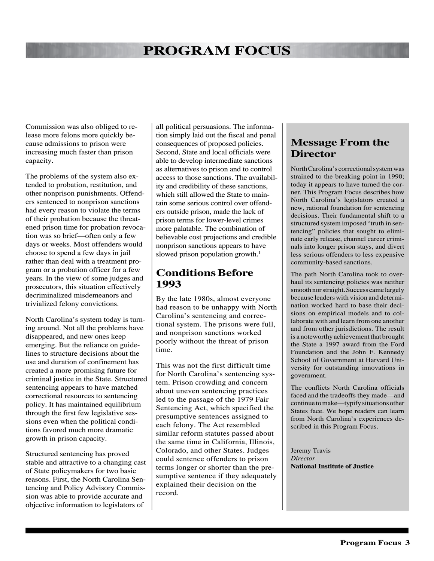Commission was also obliged to release more felons more quickly because admissions to prison were increasing much faster than prison capacity.

The problems of the system also extended to probation, restitution, and other nonprison punishments. Offenders sentenced to nonprison sanctions had every reason to violate the terms of their probation because the threatened prison time for probation revocation was so brief—often only a few days or weeks. Most offenders would choose to spend a few days in jail rather than deal with a treatment program or a probation officer for a few years. In the view of some judges and prosecutors, this situation effectively decriminalized misdemeanors and trivialized felony convictions.

North Carolina's system today is turning around. Not all the problems have disappeared, and new ones keep emerging. But the reliance on guidelines to structure decisions about the use and duration of confinement has created a more promising future for criminal justice in the State. Structured sentencing appears to have matched correctional resources to sentencing policy. It has maintained equilibrium through the first few legislative sessions even when the political conditions favored much more dramatic growth in prison capacity.

Structured sentencing has proved stable and attractive to a changing cast of State policymakers for two basic reasons. First, the North Carolina Sentencing and Policy Advisory Commission was able to provide accurate and objective information to legislators of

all political persuasions. The information simply laid out the fiscal and penal consequences of proposed policies. Second, State and local officials were able to develop intermediate sanctions as alternatives to prison and to control access to those sanctions. The availability and credibility of these sanctions, which still allowed the State to maintain some serious control over offenders outside prison, made the lack of prison terms for lower-level crimes more palatable. The combination of believable cost projections and credible nonprison sanctions appears to have slowed prison population growth. $<sup>1</sup>$ </sup>

### **Conditions Before 1993**

By the late 1980s, almost everyone had reason to be unhappy with North Carolina's sentencing and correctional system. The prisons were full, and nonprison sanctions worked poorly without the threat of prison time.

This was not the first difficult time for North Carolina's sentencing system. Prison crowding and concern about uneven sentencing practices led to the passage of the 1979 Fair Sentencing Act, which specified the presumptive sentences assigned to each felony. The Act resembled similar reform statutes passed about the same time in California, Illinois, Colorado, and other States. Judges could sentence offenders to prison terms longer or shorter than the presumptive sentence if they adequately explained their decision on the record.

#### **Message From the Director**

North Carolina's correctional system was strained to the breaking point in 1990; today it appears to have turned the corner. This Program Focus describes how North Carolina's legislators created a new, rational foundation for sentencing decisions. Their fundamental shift to a structured system imposed "truth in sentencing" policies that sought to eliminate early release, channel career criminals into longer prison stays, and divert less serious offenders to less expensive community-based sanctions.

The path North Carolina took to overhaul its sentencing policies was neither smooth nor straight. Success came largely because leaders with vision and determination worked hard to base their decisions on empirical models and to collaborate with and learn from one another and from other jurisdictions. The result is a noteworthy achievement that brought the State a 1997 award from the Ford Foundation and the John F. Kennedy School of Government at Harvard University for outstanding innovations in government.

The conflicts North Carolina officials faced and the tradeoffs they made—and continue to make—typify situations other States face. We hope readers can learn from North Carolina's experiences described in this Program Focus.

Jeremy Travis *Director* **National Institute of Justice**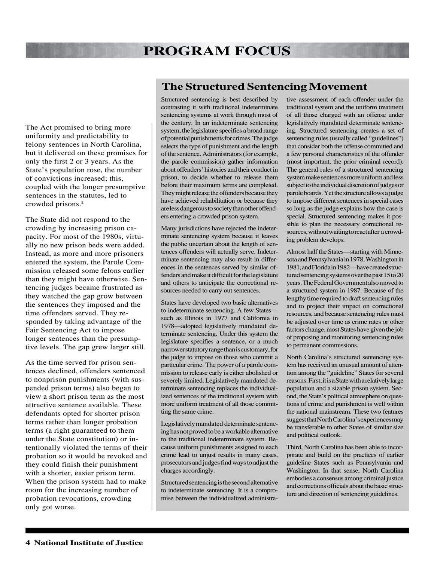The Act promised to bring more uniformity and predictability to felony sentences in North Carolina, but it delivered on these promises for only the first 2 or 3 years. As the State's population rose, the number of convictions increased; this, coupled with the longer presumptive sentences in the statutes, led to crowded prisons.2

The State did not respond to the crowding by increasing prison capacity. For most of the 1980s, virtually no new prison beds were added. Instead, as more and more prisoners entered the system, the Parole Commission released some felons earlier than they might have otherwise. Sentencing judges became frustrated as they watched the gap grow between the sentences they imposed and the time offenders served. They responded by taking advantage of the Fair Sentencing Act to impose longer sentences than the presumptive levels. The gap grew larger still.

As the time served for prison sentences declined, offenders sentenced to nonprison punishments (with suspended prison terms) also began to view a short prison term as the most attractive sentence available. These defendants opted for shorter prison terms rather than longer probation terms (a right guaranteed to them under the State constitution) or intentionally violated the terms of their probation so it would be revoked and they could finish their punishment with a shorter, easier prison term. When the prison system had to make room for the increasing number of probation revocations, crowding only got worse.

#### **The Structured Sentencing Movement**

Structured sentencing is best described by contrasting it with traditional indeterminate sentencing systems at work through most of the century. In an indeterminate sentencing system, the legislature specifies a broad range of potential punishments for crimes. The judge selects the type of punishment and the length of the sentence. Administrators (for example, the parole commission) gather information about offenders' histories and their conduct in prison, to decide whether to release them before their maximum terms are completed. They might release the offenders because they have achieved rehabilitation or because they are less dangerous to society than other offenders entering a crowded prison system.

Many jurisdictions have rejected the indeterminate sentencing system because it leaves the public uncertain about the length of sentences offenders will actually serve. Indeterminate sentencing may also result in differences in the sentences served by similar offenders and make it difficult for the legislature and others to anticipate the correctional resources needed to carry out sentences.

States have developed two basic alternatives to indeterminate sentencing. A few States such as Illinois in 1977 and California in 1978—adopted legislatively mandated determinate sentencing. Under this system the legislature specifies a sentence, or a much narrower statutory range than is customary, for the judge to impose on those who commit a particular crime. The power of a parole commission to release early is either abolished or severely limited. Legislatively mandated determinate sentencing replaces the individualized sentences of the traditional system with more uniform treatment of all those committing the same crime.

Legislatively mandated determinate sentencing has not proved to be a workable alternative to the traditional indeterminate system. Because uniform punishments assigned to each crime lead to unjust results in many cases, prosecutors and judges find ways to adjust the charges accordingly.

Structured sentencing is the second alternative to indeterminate sentencing. It is a compromise between the individualized administrative assessment of each offender under the traditional system and the uniform treatment of all those charged with an offense under legislatively mandated determinate sentencing. Structured sentencing creates a set of sentencing rules (usually called "guidelines") that consider both the offense committed and a few personal characteristics of the offender (most important, the prior criminal record). The general rules of a structured sentencing system make sentences more uniform and less subject to the individual discretion of judges or parole boards. Yet the structure allows a judge to impose different sentences in special cases so long as the judge explains how the case is special. Structured sentencing makes it possible to plan the necessary correctional resources, without waiting to react after a crowding problem develops.

Almost half the States—starting with Minnesota and Pennsylvania in 1978, Washington in 1981, and Florida in 1982—have created structured sentencing systems over the past 15 to 20 years. The Federal Government also moved to a structured system in 1987. Because of the lengthy time required to draft sentencing rules and to project their impact on correctional resources, and because sentencing rules must be adjusted over time as crime rates or other factors change, most States have given the job of proposing and monitoring sentencing rules to permanent commissions.

North Carolina's structured sentencing system has received an unusual amount of attention among the "guideline" States for several reasons. First, it is a State with a relatively large population and a sizable prison system. Second, the State's political atmosphere on questions of crime and punishment is well within the national mainstream. These two features suggest that North Carolina's experiences may be transferable to other States of similar size and political outlook.

Third, North Carolina has been able to incorporate and build on the practices of earlier guideline States such as Pennsylvania and Washington. In that sense, North Carolina embodies a consensus among criminal justice and corrections officials about the basic structure and direction of sentencing guidelines.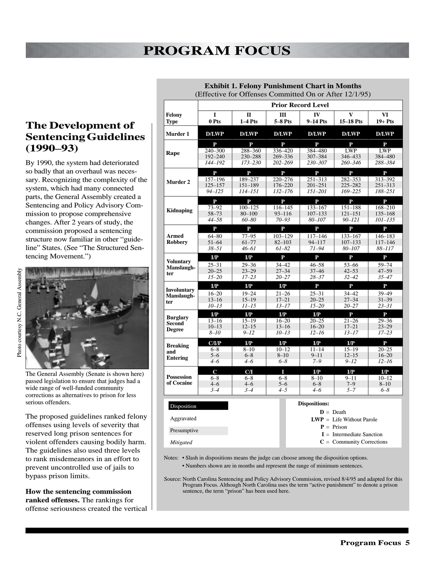### **The Development of Sentencing Guidelines (1990–93)**

By 1990, the system had deteriorated so badly that an overhaul was necessary. Recognizing the complexity of the system, which had many connected parts, the General Assembly created a Sentencing and Policy Advisory Commission to propose comprehensive changes. After 2 years of study, the commission proposed a sentencing structure now familiar in other "guideline" States. (See "The Structured Sentencing Movement.")



The General Assembly (Senate is shown here) passed legislation to ensure that judges had a wide range of well-funded community corrections as alternatives to prison for less serious offenders.

The proposed guidelines ranked felony offenses using levels of severity that reserved long prison sentences for violent offenders causing bodily harm. The guidelines also used three levels to rank misdemeanors in an effort to prevent uncontrolled use of jails to bypass prison limits.

**How the sentencing commission ranked offenses.** The rankings for offense seriousness created the vertical

|                                                                                                 | <b>Prior Record Level</b>                           |                                                                |                                                             |                                                           |                                                               |                                                       |  |
|-------------------------------------------------------------------------------------------------|-----------------------------------------------------|----------------------------------------------------------------|-------------------------------------------------------------|-----------------------------------------------------------|---------------------------------------------------------------|-------------------------------------------------------|--|
| Felony<br><b>Type</b>                                                                           | I<br>0 Pts                                          | $\mathbf{I}$<br>$1-4$ Pts                                      | H<br>$5-8$ Pts                                              | IV<br>$9-14$ Pts                                          | V<br>$15-18$ Pts                                              | VI<br>$19+$ Pts                                       |  |
| Murder 1                                                                                        | <b>D/LWP</b>                                        | <b>D/LWP</b>                                                   | <b>D/LWP</b>                                                | <b>D/LWP</b>                                              | <b>D/LWP</b>                                                  | <b>D/LWP</b>                                          |  |
| Rape                                                                                            | ${\bf P}$<br>$240 - 300$<br>$192 - 240$<br>144-192  | P<br>288-360<br>230-288<br>173–230                             | ${\bf P}$<br>336-420<br>$269 - 336$<br>$202 - 269$          | P<br>384-480<br>$307 - 384$<br>230-307                    | ${\bf P}$<br><b>LWP</b><br>346-433<br>260–346                 | ${\bf P}$<br><b>LWP</b><br>384-480<br>288–384         |  |
| Murder <sub>2</sub>                                                                             | $\mathbf{P}$<br>157-196<br>125-157<br>$94 - 125$    | $\mathbf{P}$<br>189-237<br>$151 - 189$<br>$114 - 151$          | $\mathbf{P}$<br>$220 - 276$<br>176-220<br>$132 - 176$       | $\mathbf{P}$<br>251–313<br>$201 - 251$<br>$151 - 201$     | $\mathbf{P}$<br>282-353<br>225-282<br>$169 - 225$             | $\mathbf{P}$<br>313–392<br>$251 - 313$<br>188-251     |  |
| <b>Kidnaping</b>                                                                                | $\mathbf{P}$<br>$73 - 92$<br>$58 - 73$<br>$44 - 58$ | $\mathbf{P}$<br>$100 - 125$<br>$80 - 100$<br>$60 - 80$         | $\mathbf{P}$<br>116-145<br>$93 - 116$<br>$70 - 93$          | $\mathbf{P}$<br>$133 - 167$<br>$107 - 133$<br>80-107      | $\mathbf{P}$<br>151-188<br>$121 - 151$<br>$90 - 121$          | $\mathbf{P}$<br>168-210<br>$135 - 168$<br>$101 - 135$ |  |
| Armed<br><b>Robbery</b>                                                                         | $\mathbf{P}$<br>$64 - 80$<br>$51 - 64$<br>$38 - 51$ | $\mathbf{P}$<br>$77 - 95$<br>$61 - 77$<br>46–61                | $\mathbf{P}$<br>$103 - 129$<br>$82 - 103$<br>$61 - 82$      | $\mathbf{P}$<br>117-146<br>$94 - 117$<br>$71 - 94$        | $\mathbf{P}$<br>133-167<br>$107 - 133$<br>80-107              | $\mathbf{P}$<br>146-183<br>$117 - 146$<br>88-117      |  |
| <b>Voluntary</b><br>Manslaugh-<br>ter                                                           | I/P<br>$25 - 31$<br>$20 - 25$<br>$15 - 20$          | $\mathbf{I}/\mathbf{P}$<br>$29 - 36$<br>$23 - 29$<br>$17 - 23$ | ${\bf P}$<br>$34 - 42$<br>$27 - 34$<br>$20 - 27$            | ${\bf P}$<br>$46 - 58$<br>$37 - 46$<br>$28 - 37$          | ${\bf P}$<br>$53 - 66$<br>$42 - 53$<br>$32 - 42$              | ${\bf P}$<br>$59 - 74$<br>$47 - 59$<br>$35 - 47$      |  |
| <b>Involuntary</b><br>Manslaugh-<br>ter                                                         | I/P<br>$16 - 20$<br>$13 - 16$<br>$10 - 13$          | I/P<br>$19 - 24$<br>$15 - 19$<br>$11 - 15$                     | I/P<br>$21 - 26$<br>$17 - 21$<br>$13 - 17$                  | ${\bf P}$<br>$25 - 31$<br>$20 - 25$<br>$15 - 20$          | $\mathbf{P}$<br>$34 - 42$<br>$27 - 34$<br>$20 - 27$           | ${\bf P}$<br>39-49<br>$31 - 39$<br>$23 - 31$          |  |
| <b>Burglary</b><br><b>Second</b><br><b>Degree</b>                                               | I/P<br>$13 - 16$<br>$10 - 13$<br>$8 - 10$           | I/P<br>$15 - 19$<br>$12 - 15$<br>$9 - 12$                      | I/P<br>$16 - 20$<br>$13 - 16$<br>$10 - 13$                  | I/P<br>$20 - 25$<br>$16 - 20$<br>$12 - 16$                | $\mathbf{P}$<br>$21 - 26$<br>$17 - 21$<br>$13 - 17$           | $\mathbf{P}$<br>$29 - 36$<br>$23 - 29$<br>$17 - 23$   |  |
| <b>Breaking</b><br>and<br><b>Entering</b>                                                       | C/IP<br>$6 - 8$<br>$5 - 6$<br>$4 - 6$               | I/P<br>$8 - 10$<br>$6 - 8$<br>$4 - 6$                          | $\mathbf{I}/\mathbf{P}$<br>$10 - 12$<br>$8 - 10$<br>$6 - 8$ | I/P<br>$11 - 14$<br>$9 - 11$<br>$7 - 9$                   | $\mathbf{I}/\mathbf{P}$<br>$15 - 19$<br>$12 - 15$<br>$9 - 12$ | P<br>$20 - 25$<br>$16 - 20$<br>$12 - 16$              |  |
| <b>Possession</b><br>of Cocaine                                                                 | $\mathbf C$<br>$6 - 8$<br>$4 - 6$<br>$3 - 4$        | C/I<br>$6 - 8$<br>$4 - 6$<br>$3 - 4$                           | T<br>$6 - 8$<br>$5 - 6$<br>$4 - 5$                          | $\mathbf{I}/\mathbf{P}$<br>$8 - 10$<br>$6 - 8$<br>$4 - 6$ | $_{\rm I/P}$<br>$9 - 11$<br>$7 - 9$<br>$5 - 7$                | I/P<br>$10 - 12$<br>$8 - 10$<br>$6 - 8$               |  |
| <b>Dispositions:</b><br>Disposition<br>$D = Death$<br>Aggravated<br>$LWP = Life Without Parole$ |                                                     |                                                                |                                                             |                                                           |                                                               |                                                       |  |
| $P = Prison$<br>Presumptive<br>$I =$ Intermediate Sanction                                      |                                                     |                                                                |                                                             |                                                           |                                                               |                                                       |  |

**Exhibit 1. Felony Punishment Chart in Months** (Effective for Offenses Committed On or After 12/1/95)

Notes: • Slash in dispositions means the judge can choose among the disposition options.

*Mitigated*

• Numbers shown are in months and represent the range of minimum sentences.

Source: North Carolina Sentencing and Policy Advisory Commission, revised 8/4/95 and adapted for this Program Focus. Although North Carolina uses the term "active punishment" to denote a prison sentence, the term "prison" has been used here.

**C** = Community Corrections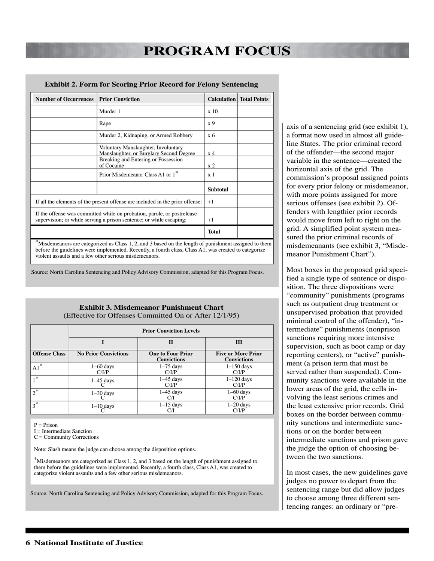#### **Exhibit 2. Form for Scoring Prior Record for Felony Sentencing**

| <b>Number of Occurrences</b>                                                                                                                                                                                  | <b>Prior Conviction</b>                                                        |                 | <b>Calculation</b>   Total Points |  |
|---------------------------------------------------------------------------------------------------------------------------------------------------------------------------------------------------------------|--------------------------------------------------------------------------------|-----------------|-----------------------------------|--|
|                                                                                                                                                                                                               | Murder 1                                                                       | x 10            |                                   |  |
|                                                                                                                                                                                                               | Rape                                                                           | x <sub>9</sub>  |                                   |  |
|                                                                                                                                                                                                               | Murder 2, Kidnaping, or Armed Robbery                                          | x 6             |                                   |  |
|                                                                                                                                                                                                               | Voluntary Manslaughter, Involuntary<br>Manslaughter, or Burglary Second Degree | x 4             |                                   |  |
|                                                                                                                                                                                                               | Breaking and Entering or Possession<br>of Cocaine                              | x <sub>2</sub>  |                                   |  |
|                                                                                                                                                                                                               | Prior Misdemeanor Class A1 or 1*                                               | x <sub>1</sub>  |                                   |  |
|                                                                                                                                                                                                               |                                                                                | <b>Subtotal</b> |                                   |  |
| If all the elements of the present offense are included in the prior offense:                                                                                                                                 | $+1$                                                                           |                 |                                   |  |
| If the offense was committed while on probation, parole, or postrelease<br>supervision; or while serving a prison sentence; or while escaping:                                                                | $+1$                                                                           |                 |                                   |  |
|                                                                                                                                                                                                               |                                                                                | <b>Total</b>    |                                   |  |
| Misdemeanors are categorized as Class 1, 2, and 3 based on the length of punishment assigned to them<br>before the guidelines were implemented. Recently, a fourth class, Class A1, was created to categorize |                                                                                |                 |                                   |  |

violent assaults and a few other serious misdemeanors.

Source: North Carolina Sentencing and Policy Advisory Commission, adapted for this Program Focus.

#### **Exhibit 3. Misdemeanor Punishment Chart** (Effective for Offenses Committed On or After 12/1/95)

|                      | <b>Prior Conviction Levels</b> |                                                |                                                 |  |  |  |
|----------------------|--------------------------------|------------------------------------------------|-------------------------------------------------|--|--|--|
|                      |                                | $\mathbf H$                                    | III                                             |  |  |  |
| <b>Offense Class</b> | <b>No Prior Convictions</b>    | <b>One to Four Prior</b><br><b>Convictions</b> | <b>Five or More Prior</b><br><b>Convictions</b> |  |  |  |
| $\overline{A1}^*$    | $1-60$ days<br>C/IP            | $1-75$ days<br>C/IP                            | $1-150$ days<br>C/IP                            |  |  |  |
| _ 米                  | $1-45$ days                    | $1-45$ days<br>C/IP                            | $1-120$ days<br>C/IP                            |  |  |  |
| $2^*$                | $1-30$ days                    | $1-45$ days<br>CЛ                              | $1-60$ days<br>C/IP                             |  |  |  |
| $3^*$                | $1-10$ days                    | $1-15$ days                                    | $1-20$ days<br>C/I/P                            |  |  |  |

 $P = Prison$ 

I = Intermediate Sanction

C = Community Corrections

Note: Slash means the judge can choose among the disposition options.

\*Misdemeanors are categorized as Class 1, 2, and 3 based on the length of punishment assigned to them before the guidelines were implemented. Recently, a fourth class, Class A1, was created to categorize violent assaults and a few other serious misdemeanors.

Source: North Carolina Sentencing and Policy Advisory Commission, adapted for this Program Focus.

axis of a sentencing grid (see exhibit 1), a format now used in almost all guideline States. The prior criminal record of the offender—the second major variable in the sentence—created the horizontal axis of the grid. The commission's proposal assigned points for every prior felony or misdemeanor, with more points assigned for more serious offenses (see exhibit 2). Offenders with lengthier prior records would move from left to right on the grid. A simplified point system measured the prior criminal records of misdemeanants (see exhibit 3, "Misdemeanor Punishment Chart").

Most boxes in the proposed grid specified a single type of sentence or disposition. The three dispositions were "community" punishments (programs such as outpatient drug treatment or unsupervised probation that provided minimal control of the offender), "intermediate" punishments (nonprison sanctions requiring more intensive supervision, such as boot camp or day reporting centers), or "active" punishment (a prison term that must be served rather than suspended). Community sanctions were available in the lower areas of the grid, the cells involving the least serious crimes and the least extensive prior records. Grid boxes on the border between community sanctions and intermediate sanctions or on the border between intermediate sanctions and prison gave the judge the option of choosing between the two sanctions.

In most cases, the new guidelines gave judges no power to depart from the sentencing range but did allow judges to choose among three different sentencing ranges: an ordinary or "pre-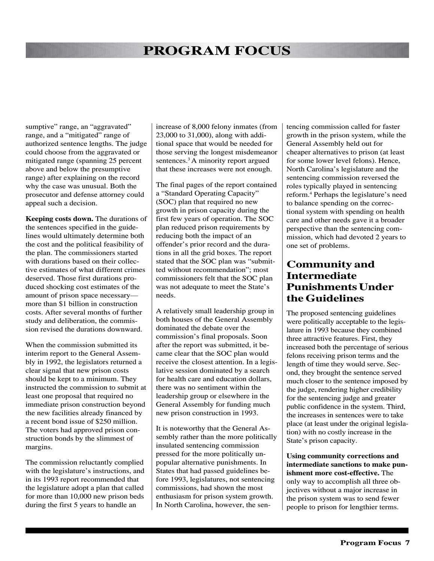sumptive" range, an "aggravated" range, and a "mitigated" range of authorized sentence lengths. The judge could choose from the aggravated or mitigated range (spanning 25 percent above and below the presumptive range) after explaining on the record why the case was unusual. Both the prosecutor and defense attorney could appeal such a decision.

**Keeping costs down.** The durations of the sentences specified in the guidelines would ultimately determine both the cost and the political feasibility of the plan. The commissioners started with durations based on their collective estimates of what different crimes deserved. Those first durations produced shocking cost estimates of the amount of prison space necessary more than \$1 billion in construction costs. After several months of further study and deliberation, the commission revised the durations downward.

When the commission submitted its interim report to the General Assembly in 1992, the legislators returned a clear signal that new prison costs should be kept to a minimum. They instructed the commission to submit at least one proposal that required no immediate prison construction beyond the new facilities already financed by a recent bond issue of \$250 million. The voters had approved prison construction bonds by the slimmest of margins.

The commission reluctantly complied with the legislature's instructions, and in its 1993 report recommended that the legislature adopt a plan that called for more than 10,000 new prison beds during the first 5 years to handle an

increase of 8,000 felony inmates (from 23,000 to 31,000), along with additional space that would be needed for those serving the longest misdemeanor sentences.<sup>3</sup> A minority report argued that these increases were not enough.

The final pages of the report contained a "Standard Operating Capacity" (SOC) plan that required no new growth in prison capacity during the first few years of operation. The SOC plan reduced prison requirements by reducing both the impact of an offender's prior record and the durations in all the grid boxes. The report stated that the SOC plan was "submitted without recommendation"; most commissioners felt that the SOC plan was not adequate to meet the State's needs.

A relatively small leadership group in both houses of the General Assembly dominated the debate over the commission's final proposals. Soon after the report was submitted, it became clear that the SOC plan would receive the closest attention. In a legislative session dominated by a search for health care and education dollars, there was no sentiment within the leadership group or elsewhere in the General Assembly for funding much new prison construction in 1993.

It is noteworthy that the General Assembly rather than the more politically insulated sentencing commission pressed for the more politically unpopular alternative punishments. In States that had passed guidelines before 1993, legislatures, not sentencing commissions, had shown the most enthusiasm for prison system growth. In North Carolina, however, the sentencing commission called for faster growth in the prison system, while the General Assembly held out for cheaper alternatives to prison (at least for some lower level felons). Hence, North Carolina's legislature and the sentencing commission reversed the roles typically played in sentencing reform.4 Perhaps the legislature's need to balance spending on the correctional system with spending on health care and other needs gave it a broader perspective than the sentencing commission, which had devoted 2 years to one set of problems.

### **Community and Intermediate Punishments Under the Guidelines**

The proposed sentencing guidelines were politically acceptable to the legislature in 1993 because they combined three attractive features. First, they increased both the percentage of serious felons receiving prison terms and the length of time they would serve. Second, they brought the sentence served much closer to the sentence imposed by the judge, rendering higher credibility for the sentencing judge and greater public confidence in the system. Third, the increases in sentences were to take place (at least under the original legislation) with no costly increase in the State's prison capacity.

**Using community corrections and intermediate sanctions to make punishment more cost-effective.** The only way to accomplish all three objectives without a major increase in the prison system was to send fewer people to prison for lengthier terms.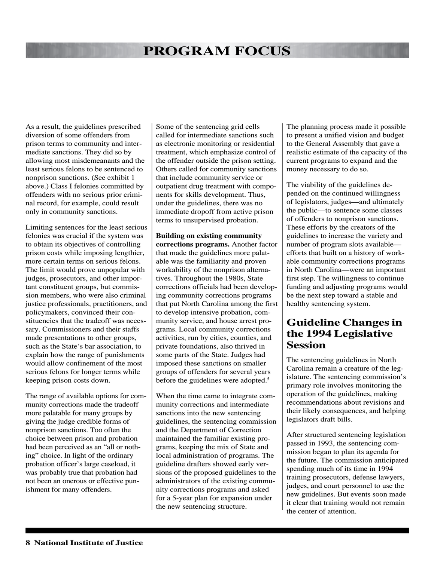As a result, the guidelines prescribed diversion of some offenders from prison terms to community and intermediate sanctions. They did so by allowing most misdemeanants and the least serious felons to be sentenced to nonprison sanctions. (See exhibit 1 above.) Class I felonies committed by offenders with no serious prior criminal record, for example, could result only in community sanctions.

Limiting sentences for the least serious felonies was crucial if the system was to obtain its objectives of controlling prison costs while imposing lengthier, more certain terms on serious felons. The limit would prove unpopular with judges, prosecutors, and other important constituent groups, but commission members, who were also criminal justice professionals, practitioners, and policymakers, convinced their constituencies that the tradeoff was necessary. Commissioners and their staffs made presentations to other groups, such as the State's bar association, to explain how the range of punishments would allow confinement of the most serious felons for longer terms while keeping prison costs down.

The range of available options for community corrections made the tradeoff more palatable for many groups by giving the judge credible forms of nonprison sanctions. Too often the choice between prison and probation had been perceived as an "all or nothing" choice. In light of the ordinary probation officer's large caseload, it was probably true that probation had not been an onerous or effective punishment for many offenders.

Some of the sentencing grid cells called for intermediate sanctions such as electronic monitoring or residential treatment, which emphasize control of the offender outside the prison setting. Others called for community sanctions that include community service or outpatient drug treatment with components for skills development. Thus, under the guidelines, there was no immediate dropoff from active prison terms to unsupervised probation.

**Building on existing community corrections programs.** Another factor that made the guidelines more palatable was the familiarity and proven workability of the nonprison alternatives. Throughout the 1980s, State corrections officials had been developing community corrections programs that put North Carolina among the first to develop intensive probation, community service, and house arrest programs. Local community corrections activities, run by cities, counties, and private foundations, also thrived in some parts of the State. Judges had imposed these sanctions on smaller groups of offenders for several years before the guidelines were adopted.<sup>5</sup>

When the time came to integrate community corrections and intermediate sanctions into the new sentencing guidelines, the sentencing commission and the Department of Correction maintained the familiar existing programs, keeping the mix of State and local administration of programs. The guideline drafters showed early versions of the proposed guidelines to the administrators of the existing community corrections programs and asked for a 5-year plan for expansion under the new sentencing structure.

The planning process made it possible to present a unified vision and budget to the General Assembly that gave a realistic estimate of the capacity of the current programs to expand and the money necessary to do so.

The viability of the guidelines depended on the continued willingness of legislators, judges**—**and ultimately the public—to sentence some classes of offenders to nonprison sanctions. These efforts by the creators of the guidelines to increase the variety and number of program slots available efforts that built on a history of workable community corrections programs in North Carolina—were an important first step. The willingness to continue funding and adjusting programs would be the next step toward a stable and healthy sentencing system.

### **Guideline Changes in the 1994 Legislative Session**

The sentencing guidelines in North Carolina remain a creature of the legislature. The sentencing commission's primary role involves monitoring the operation of the guidelines, making recommendations about revisions and their likely consequences, and helping legislators draft bills.

After structured sentencing legislation passed in 1993, the sentencing commission began to plan its agenda for the future. The commission anticipated spending much of its time in 1994 training prosecutors, defense lawyers, judges, and court personnel to use the new guidelines. But events soon made it clear that training would not remain the center of attention.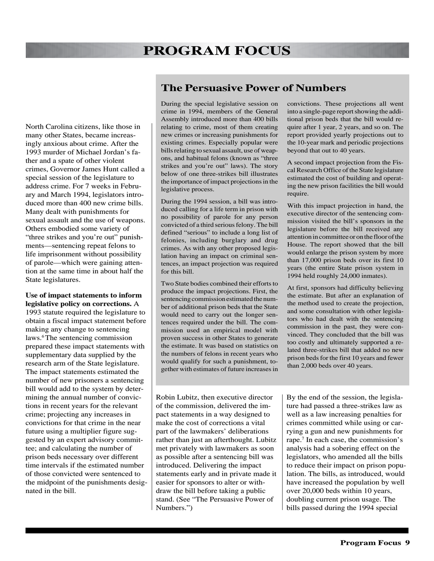North Carolina citizens, like those in many other States, became increasingly anxious about crime. After the 1993 murder of Michael Jordan's father and a spate of other violent crimes, Governor James Hunt called a special session of the legislature to address crime. For 7 weeks in February and March 1994, legislators introduced more than 400 new crime bills. Many dealt with punishments for sexual assault and the use of weapons. Others embodied some variety of "three strikes and you're out" punishments—sentencing repeat felons to life imprisonment without possibility of parole—which were gaining attention at the same time in about half the State legislatures.

#### **Use of impact statements to inform legislative policy on corrections.** A

1993 statute required the legislature to obtain a fiscal impact statement before making any change to sentencing laws.6 The sentencing commission prepared these impact statements with supplementary data supplied by the research arm of the State legislature. The impact statements estimated the number of new prisoners a sentencing bill would add to the system by determining the annual number of convictions in recent years for the relevant crime; projecting any increases in convictions for that crime in the near future using a multiplier figure suggested by an expert advisory committee; and calculating the number of prison beds necessary over different time intervals if the estimated number of those convicted were sentenced to the midpoint of the punishments designated in the bill.

### **The Persuasive Power of Numbers**

During the special legislative session on crime in 1994, members of the General Assembly introduced more than 400 bills relating to crime, most of them creating new crimes or increasing punishments for existing crimes. Especially popular were bills relating to sexual assault, use of weapons, and habitual felons (known as "three strikes and you're out" laws). The story below of one three-strikes bill illustrates the importance of impact projections in the legislative process.

During the 1994 session, a bill was introduced calling for a life term in prison with no possibility of parole for any person convicted of a third serious felony. The bill defined "serious" to include a long list of felonies, including burglary and drug crimes. As with any other proposed legislation having an impact on criminal sentences, an impact projection was required for this bill.

Two State bodies combined their efforts to produce the impact projections. First, the sentencing commission estimated the number of additional prison beds that the State would need to carry out the longer sentences required under the bill. The commission used an empirical model with proven success in other States to generate the estimate. It was based on statistics on the numbers of felons in recent years who would qualify for such a punishment, together with estimates of future increases in

Robin Lubitz, then executive director of the commission, delivered the impact statements in a way designed to make the cost of corrections a vital part of the lawmakers' deliberations rather than just an afterthought. Lubitz met privately with lawmakers as soon as possible after a sentencing bill was introduced. Delivering the impact statements early and in private made it easier for sponsors to alter or withdraw the bill before taking a public stand. (See "The Persuasive Power of Numbers.")

convictions. These projections all went into a single-page report showing the additional prison beds that the bill would require after 1 year, 2 years, and so on. The report provided yearly projections out to the 10-year mark and periodic projections beyond that out to 40 years.

A second impact projection from the Fiscal Research Office of the State legislature estimated the cost of building and operating the new prison facilities the bill would require.

With this impact projection in hand, the executive director of the sentencing commission visited the bill's sponsors in the legislature before the bill received any attention in committee or on the floor of the House. The report showed that the bill would enlarge the prison system by more than 17,000 prison beds over its first 10 years (the entire State prison system in 1994 held roughly 24,000 inmates).

At first, sponsors had difficulty believing the estimate. But after an explanation of the method used to create the projection, and some consultation with other legislators who had dealt with the sentencing commission in the past, they were convinced. They concluded that the bill was too costly and ultimately supported a related three-strikes bill that added no new prison beds for the first 10 years and fewer than 2,000 beds over 40 years.

By the end of the session, the legislature had passed a three-strikes law as well as a law increasing penalties for crimes committed while using or carrying a gun and new punishments for rape.7 In each case, the commission's analysis had a sobering effect on the legislators, who amended all the bills to reduce their impact on prison population. The bills, as introduced, would have increased the population by well over 20,000 beds within 10 years, doubling current prison usage. The bills passed during the 1994 special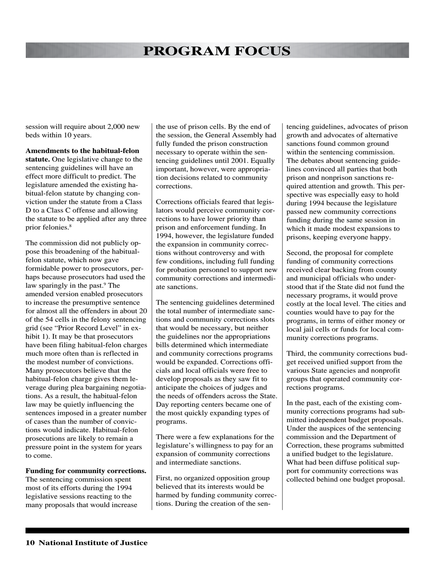session will require about 2,000 new beds within 10 years.

**Amendments to the habitual-felon statute.** One legislative change to the sentencing guidelines will have an effect more difficult to predict. The legislature amended the existing habitual-felon statute by changing conviction under the statute from a Class D to a Class C offense and allowing the statute to be applied after any three prior felonies.8

The commission did not publicly oppose this broadening of the habitualfelon statute, which now gave formidable power to prosecutors, perhaps because prosecutors had used the law sparingly in the past.<sup>9</sup> The amended version enabled prosecutors to increase the presumptive sentence for almost all the offenders in about 20 of the 54 cells in the felony sentencing grid (see "Prior Record Level" in exhibit 1). It may be that prosecutors have been filing habitual-felon charges much more often than is reflected in the modest number of convictions. Many prosecutors believe that the habitual-felon charge gives them leverage during plea bargaining negotiations. As a result, the habitual-felon law may be quietly influencing the sentences imposed in a greater number of cases than the number of convictions would indicate. Habitual-felon prosecutions are likely to remain a pressure point in the system for years to come.

#### **Funding for community corrections.**

The sentencing commission spent most of its efforts during the 1994 legislative sessions reacting to the many proposals that would increase

the use of prison cells. By the end of the session, the General Assembly had fully funded the prison construction necessary to operate within the sentencing guidelines until 2001. Equally important, however, were appropriation decisions related to community corrections.

Corrections officials feared that legislators would perceive community corrections to have lower priority than prison and enforcement funding. In 1994, however, the legislature funded the expansion in community corrections without controversy and with few conditions, including full funding for probation personnel to support new community corrections and intermediate sanctions.

The sentencing guidelines determined the total number of intermediate sanctions and community corrections slots that would be necessary, but neither the guidelines nor the appropriations bills determined which intermediate and community corrections programs would be expanded. Corrections officials and local officials were free to develop proposals as they saw fit to anticipate the choices of judges and the needs of offenders across the State. Day reporting centers became one of the most quickly expanding types of programs.

There were a few explanations for the legislature's willingness to pay for an expansion of community corrections and intermediate sanctions.

First, no organized opposition group believed that its interests would be harmed by funding community corrections. During the creation of the sentencing guidelines, advocates of prison growth and advocates of alternative sanctions found common ground within the sentencing commission. The debates about sentencing guidelines convinced all parties that both prison and nonprison sanctions required attention and growth. This perspective was especially easy to hold during 1994 because the legislature passed new community corrections funding during the same session in which it made modest expansions to prisons, keeping everyone happy.

Second, the proposal for complete funding of community corrections received clear backing from county and municipal officials who understood that if the State did not fund the necessary programs, it would prove costly at the local level. The cities and counties would have to pay for the programs, in terms of either money or local jail cells or funds for local community corrections programs.

Third, the community corrections budget received unified support from the various State agencies and nonprofit groups that operated community corrections programs.

In the past, each of the existing community corrections programs had submitted independent budget proposals. Under the auspices of the sentencing commission and the Department of Correction, these programs submitted a unified budget to the legislature. What had been diffuse political support for community corrections was collected behind one budget proposal.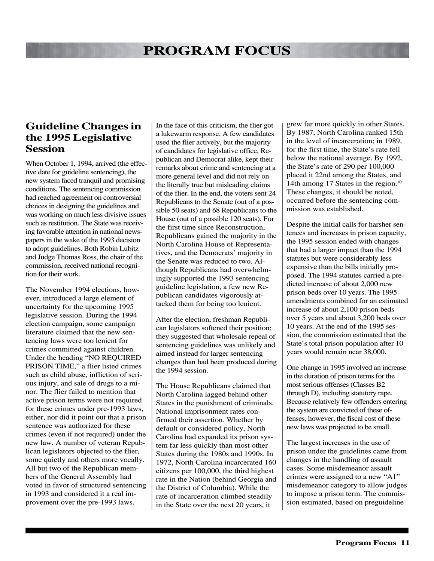#### **Guideline Changes in the 1995 Legislative Session**

When October 1, 1994, arrived (the effective date for guideline sentencing), the new system faced tranquil and promising conditions. The sentencing commission had reached agreement on controversial choices in designing the guidelines and was working on much less divisive issues such as restitution. The State was receiving favorable attention in national newspapers in the wake of the 1993 decision to adopt guidelines. Both Robin Lubitz and Judge Thomas Ross, the chair of the commission, received national recognition for their work.

The November 1994 elections, however, introduced a large element of uncertainty for the upcoming 1995 legislative session. During the 1994 election campaign, some campaign literature claimed that the new sentencing laws were too lenient for crimes committed against children. Under the heading "NO REQUIRED PRISON TIME," a flier listed crimes such as child abuse, infliction of serious injury, and sale of drugs to a minor. The flier failed to mention that active prison terms were not required for these crimes under pre-1993 laws, either, nor did it point out that a prison sentence was authorized for these crimes (even if not required) under the new law. A number of veteran Republican legislators objected to the flier, some quietly and others more vocally. All but two of the Republican members of the General Assembly had voted in favor of structured sentencing in 1993 and considered it a real improvement over the pre-1993 laws.

In the face of this criticism, the flier got a lukewarm response. A few candidates used the flier actively, but the majority of candidates for legislative office, Republican and Democrat alike, kept their remarks about crime and sentencing at a more general level and did not rely on the literally true but misleading claims of the flier. In the end, the voters sent 24 Republicans to the Senate (out of a possible 50 seats) and 68 Republicans to the House (out of a possible 120 seats). For the first time since Reconstruction, Republicans gained the majority in the North Carolina House of Representatives, and the Democrats' majority in the Senate was reduced to two. Although Republicans had overwhelmingly supported the 1993 sentencing guideline legislation, a few new Republican candidates vigorously attacked them for being too lenient.

After the election, freshman Republican legislators softened their position; they suggested that wholesale repeal of sentencing guidelines was unlikely and aimed instead for larger sentencing changes than had been produced during the 1994 session.

The House Republicans claimed that North Carolina lagged behind other States in the punishment of criminals. National imprisonment rates confirmed their assertion. Whether by default or considered policy, North Carolina had expanded its prison system far less quickly than most other States during the 1980s and 1990s. In 1972, North Carolina incarcerated 160 citizens per 100,000, the third highest rate in the Nation (behind Georgia and the District of Columbia). While the rate of incarceration climbed steadily in the State over the next 20 years, it

grew far more quickly in other States. By 1987, North Carolina ranked 15th in the level of incarceration; in 1989, for the first time, the State's rate fell below the national average. By 1992, the State's rate of 290 per 100,000 placed it 22nd among the States, and 14th among 17 States in the region.<sup>10</sup> These changes, it should be noted, occurred before the sentencing commission was established.

Despite the initial calls for harsher sentences and increases in prison capacity, the 1995 session ended with changes that had a larger impact than the 1994 statutes but were considerably less expensive than the bills initially proposed. The 1994 statutes carried a predicted increase of about 2,000 new prison beds over 10 years. The 1995 amendments combined for an estimated increase of about 2,100 prison beds over 5 years and about 3,200 beds over 10 years. At the end of the 1995 session, the commission estimated that the State's total prison population after 10 years would remain near 38,000.

One change in 1995 involved an increase in the duration of prison terms for the most serious offenses (Classes B2 through D), including statutory rape. Because relatively few offenders entering the system are convicted of these offenses, however, the fiscal cost of these new laws was projected to be small.

The largest increases in the use of prison under the guidelines came from changes in the handling of assault cases. Some misdemeanor assault crimes were assigned to a new "A1" misdemeanor category to allow judges to impose a prison term. The commission estimated, based on preguideline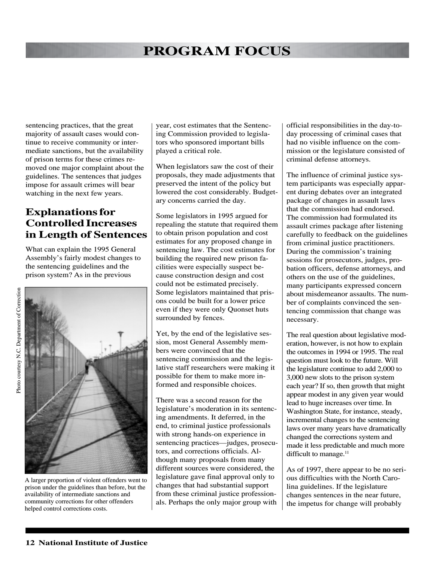sentencing practices, that the great majority of assault cases would continue to receive community or intermediate sanctions, but the availability of prison terms for these crimes removed one major complaint about the guidelines. The sentences that judges impose for assault crimes will bear watching in the next few years.

### **Explanations for Controlled Increases in Length of Sentences**

What can explain the 1995 General Assembly's fairly modest changes to the sentencing guidelines and the prison system? As in the previous



A larger proportion of violent offenders went to prison under the guidelines than before, but the availability of intermediate sanctions and community corrections for other offenders helped control corrections costs.

year, cost estimates that the Sentencing Commission provided to legislators who sponsored important bills played a critical role.

When legislators saw the cost of their proposals, they made adjustments that preserved the intent of the policy but lowered the cost considerably. Budgetary concerns carried the day.

Some legislators in 1995 argued for repealing the statute that required them to obtain prison population and cost estimates for any proposed change in sentencing law. The cost estimates for building the required new prison facilities were especially suspect because construction design and cost could not be estimated precisely. Some legislators maintained that prisons could be built for a lower price even if they were only Quonset huts surrounded by fences.

Yet, by the end of the legislative session, most General Assembly members were convinced that the sentencing commission and the legislative staff researchers were making it possible for them to make more informed and responsible choices.

There was a second reason for the legislature's moderation in its sentencing amendments. It deferred, in the end, to criminal justice professionals with strong hands-on experience in sentencing practices—judges, prosecutors, and corrections officials. Although many proposals from many different sources were considered, the legislature gave final approval only to changes that had substantial support from these criminal justice professionals. Perhaps the only major group with official responsibilities in the day-today processing of criminal cases that had no visible influence on the commission or the legislature consisted of criminal defense attorneys.

The influence of criminal justice system participants was especially apparent during debates over an integrated package of changes in assault laws that the commission had endorsed. The commission had formulated its assault crimes package after listening carefully to feedback on the guidelines from criminal justice practitioners. During the commission's training sessions for prosecutors, judges, probation officers, defense attorneys, and others on the use of the guidelines, many participants expressed concern about misdemeanor assaults. The number of complaints convinced the sentencing commission that change was necessary.

The real question about legislative moderation, however, is not how to explain the outcomes in 1994 or 1995. The real question must look to the future. Will the legislature continue to add 2,000 to 3,000 new slots to the prison system each year? If so, then growth that might appear modest in any given year would lead to huge increases over time. In Washington State, for instance, steady, incremental changes to the sentencing laws over many years have dramatically changed the corrections system and made it less predictable and much more difficult to manage.<sup>11</sup>

As of 1997, there appear to be no serious difficulties with the North Carolina guidelines. If the legislature changes sentences in the near future, the impetus for change will probably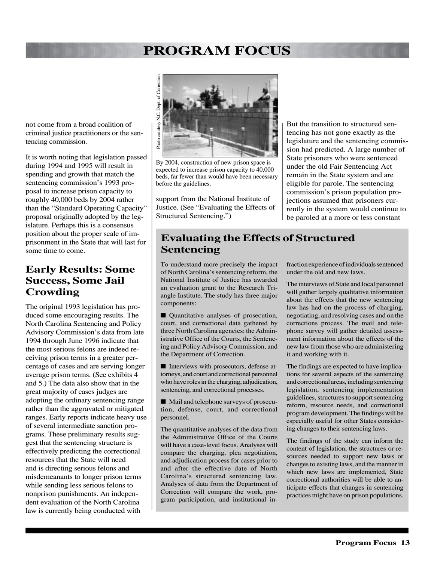not come from a broad coalition of criminal justice practitioners or the sentencing commission.

It is worth noting that legislation passed during 1994 and 1995 will result in spending and growth that match the sentencing commission's 1993 proposal to increase prison capacity to roughly 40,000 beds by 2004 rather than the "Standard Operating Capacity" proposal originally adopted by the legislature. Perhaps this is a consensus position about the proper scale of imprisonment in the State that will last for some time to come.

### **Early Results: Some Success, Some Jail Crowding**

The original 1993 legislation has produced some encouraging results. The North Carolina Sentencing and Policy Advisory Commission's data from late 1994 through June 1996 indicate that the most serious felons are indeed receiving prison terms in a greater percentage of cases and are serving longer average prison terms. (See exhibits 4 and 5.) The data also show that in the great majority of cases judges are adopting the ordinary sentencing range rather than the aggravated or mitigated ranges. Early reports indicate heavy use of several intermediate sanction programs. These preliminary results suggest that the sentencing structure is effectively predicting the correctional resources that the State will need and is directing serious felons and misdemeanants to longer prison terms while sending less serious felons to nonprison punishments. An independent evaluation of the North Carolina law is currently being conducted with



By 2004, construction of new prison space is expected to increase prison capacity to 40,000 beds, far fewer than would have been necessary

support from the National Institute of Justice. (See "Evaluating the Effects of Structured Sentencing.")

But the transition to structured sentencing has not gone exactly as the legislature and the sentencing commission had predicted. A large number of State prisoners who were sentenced under the old Fair Sentencing Act remain in the State system and are eligible for parole. The sentencing commission's prison population projections assumed that prisoners currently in the system would continue to be paroled at a more or less constant

### **Evaluating the Effects of Structured Sentencing**

To understand more precisely the impact of North Carolina's sentencing reform, the National Institute of Justice has awarded an evaluation grant to the Research Triangle Institute. The study has three major components:

■ Quantitative analyses of prosecution, court, and correctional data gathered by three North Carolina agencies: the Administrative Office of the Courts, the Sentencing and Policy Advisory Commission, and the Department of Correction.

■ Interviews with prosecutors, defense attorneys, and court and correctional personnel who have roles in the charging, adjudication, sentencing, and correctional processes.

■ Mail and telephone surveys of prosecution, defense, court, and correctional personnel.

The quantitative analyses of the data from the Administrative Office of the Courts will have a case-level focus. Analyses will compare the charging, plea negotiation, and adjudication process for cases prior to and after the effective date of North Carolina's structured sentencing law. Analyses of data from the Department of Correction will compare the work, program participation, and institutional infraction experience of individuals sentenced under the old and new laws.

The interviews of State and local personnel will gather largely qualitative information about the effects that the new sentencing law has had on the process of charging, negotiating, and resolving cases and on the corrections process. The mail and telephone survey will gather detailed assessment information about the effects of the new law from those who are administering it and working with it.

The findings are expected to have implications for several aspects of the sentencing and correctional areas, including sentencing legislation, sentencing implementation guidelines, structures to support sentencing reform, resource needs, and correctional program development. The findings will be especially useful for other States considering changes to their sentencing laws.

The findings of the study can inform the content of legislation, the structures or resources needed to support new laws or changes to existing laws, and the manner in which new laws are implemented, State correctional authorities will be able to anticipate effects that changes in sentencing practices might have on prison populations.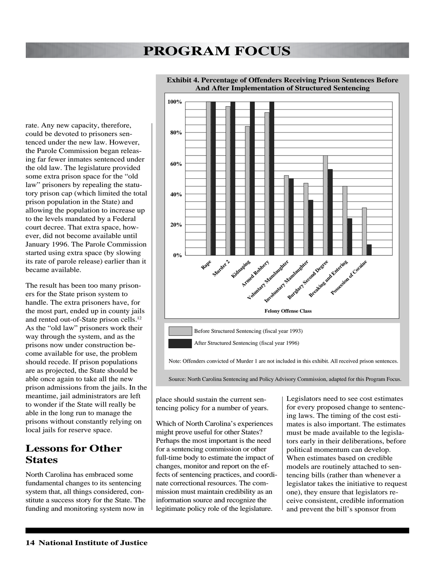rate. Any new capacity, therefore, could be devoted to prisoners sentenced under the new law. However, the Parole Commission began releasing far fewer inmates sentenced under the old law. The legislature provided some extra prison space for the "old law" prisoners by repealing the statutory prison cap (which limited the total prison population in the State) and allowing the population to increase up to the levels mandated by a Federal court decree. That extra space, however, did not become available until January 1996. The Parole Commission started using extra space (by slowing its rate of parole release) earlier than it became available.

The result has been too many prisoners for the State prison system to handle. The extra prisoners have, for the most part, ended up in county jails and rented out-of-State prison cells.12 As the "old law" prisoners work their way through the system, and as the prisons now under construction become available for use, the problem should recede. If prison populations are as projected, the State should be able once again to take all the new prison admissions from the jails. In the meantime, jail administrators are left to wonder if the State will really be able in the long run to manage the prisons without constantly relying on local jails for reserve space.

### **Lessons for Other States**

North Carolina has embraced some fundamental changes to its sentencing system that, all things considered, constitute a success story for the State. The funding and monitoring system now in



#### **Exhibit 4. Percentage of Offenders Receiving Prison Sentences Before And After Implementation of Structured Sentencing**

Source: North Carolina Sentencing and Policy Advisory Commission, adapted for this Program Focus.

place should sustain the current sentencing policy for a number of years.

Which of North Carolina's experiences might prove useful for other States? Perhaps the most important is the need for a sentencing commission or other full-time body to estimate the impact of changes, monitor and report on the effects of sentencing practices, and coordinate correctional resources. The commission must maintain credibility as an information source and recognize the legitimate policy role of the legislature.

Legislators need to see cost estimates for every proposed change to sentencing laws. The timing of the cost estimates is also important. The estimates must be made available to the legislators early in their deliberations, before political momentum can develop. When estimates based on credible models are routinely attached to sentencing bills (rather than whenever a legislator takes the initiative to request one), they ensure that legislators receive consistent, credible information and prevent the bill's sponsor from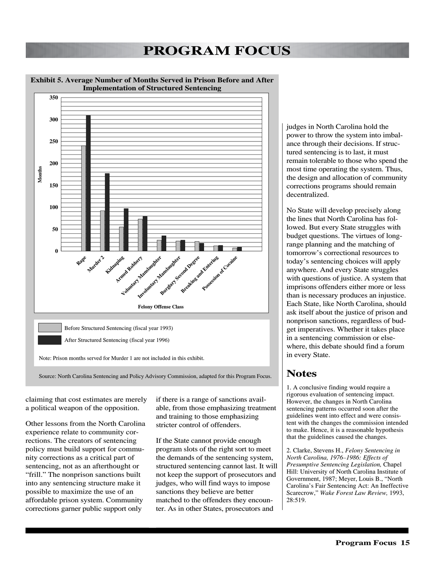

**Exhibit 5. Average Number of Months Served in Prison Before and After Implementation of Structured Sentencing**

claiming that cost estimates are merely a political weapon of the opposition.

Other lessons from the North Carolina experience relate to community corrections. The creators of sentencing policy must build support for community corrections as a critical part of sentencing, not as an afterthought or "frill." The nonprison sanctions built into any sentencing structure make it possible to maximize the use of an affordable prison system. Community corrections garner public support only

if there is a range of sanctions available, from those emphasizing treatment and training to those emphasizing stricter control of offenders.

If the State cannot provide enough program slots of the right sort to meet the demands of the sentencing system, structured sentencing cannot last. It will not keep the support of prosecutors and judges, who will find ways to impose sanctions they believe are better matched to the offenders they encounter. As in other States, prosecutors and

judges in North Carolina hold the power to throw the system into imbalance through their decisions. If structured sentencing is to last, it must remain tolerable to those who spend the most time operating the system. Thus, the design and allocation of community corrections programs should remain decentralized.

No State will develop precisely along the lines that North Carolina has followed. But every State struggles with budget questions. The virtues of longrange planning and the matching of tomorrow's correctional resources to today's sentencing choices will apply anywhere. And every State struggles with questions of justice. A system that imprisons offenders either more or less than is necessary produces an injustice. Each State, like North Carolina, should ask itself about the justice of prison and nonprison sanctions, regardless of budget imperatives. Whether it takes place in a sentencing commission or elsewhere, this debate should find a forum in every State.

### **Notes**

1. A conclusive finding would require a rigorous evaluation of sentencing impact. However, the changes in North Carolina sentencing patterns occurred soon after the guidelines went into effect and were consistent with the changes the commission intended to make. Hence, it is a reasonable hypothesis that the guidelines caused the changes.

2. Clarke, Stevens H., *Felony Sentencing in North Carolina, 1976–1986: Effects of Presumptive Sentencing Legislation,* Chapel Hill: University of North Carolina Institute of Government, 1987; Meyer, Louis B., "North Carolina's Fair Sentencing Act: An Ineffective Scarecrow," *Wake Forest Law Review,* 1993, 28:519.